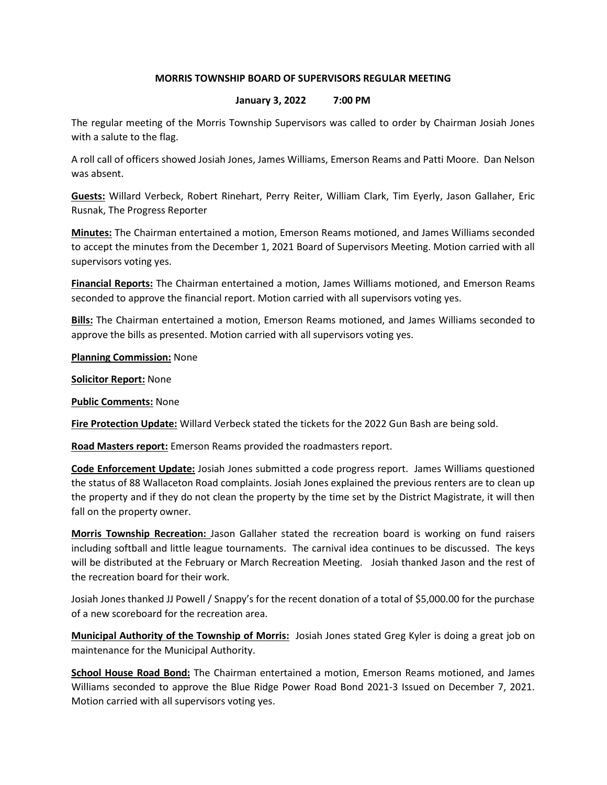## MORRIS TOWNSHIP BOARD OF SUPERVISORS REGULAR MEETING

## January 3, 2022 7:00 PM

The regular meeting of the Morris Township Supervisors was called to order by Chairman Josiah Jones with a salute to the flag.

A roll call of officers showed Josiah Jones, James Williams, Emerson Reams and Patti Moore. Dan Nelson was absent.

Guests: Willard Verbeck, Robert Rinehart, Perry Reiter, William Clark, Tim Eyerly, Jason Gallaher, Eric Rusnak, The Progress Reporter

Minutes: The Chairman entertained a motion, Emerson Reams motioned, and James Williams seconded to accept the minutes from the December 1, 2021 Board of Supervisors Meeting. Motion carried with all supervisors voting yes.

Financial Reports: The Chairman entertained a motion, James Williams motioned, and Emerson Reams seconded to approve the financial report. Motion carried with all supervisors voting yes.

Bills: The Chairman entertained a motion, Emerson Reams motioned, and James Williams seconded to approve the bills as presented. Motion carried with all supervisors voting yes.

**Planning Commission: None** 

**Solicitor Report: None** 

**Public Comments: None** 

Fire Protection Update: Willard Verbeck stated the tickets for the 2022 Gun Bash are being sold.

Road Masters report: Emerson Reams provided the roadmasters report.

Code Enforcement Update: Josiah Jones submitted a code progress report. James Williams questioned the status of 88 Wallaceton Road complaints. Josiah Jones explained the previous renters are to clean up the property and if they do not clean the property by the time set by the District Magistrate, it will then fall on the property owner.

Morris Township Recreation: Jason Gallaher stated the recreation board is working on fund raisers including softball and little league tournaments. The carnival idea continues to be discussed. The keys will be distributed at the February or March Recreation Meeting. Josiah thanked Jason and the rest of the recreation board for their work.

Josiah Jones thanked JJ Powell / Snappy's for the recent donation of a total of \$5,000.00 for the purchase of a new scoreboard for the recreation area.

Municipal Authority of the Township of Morris: Josiah Jones stated Greg Kyler is doing a great job on maintenance for the Municipal Authority.

School House Road Bond: The Chairman entertained a motion, Emerson Reams motioned, and James Williams seconded to approve the Blue Ridge Power Road Bond 2021-3 Issued on December 7, 2021. Motion carried with all supervisors voting yes.